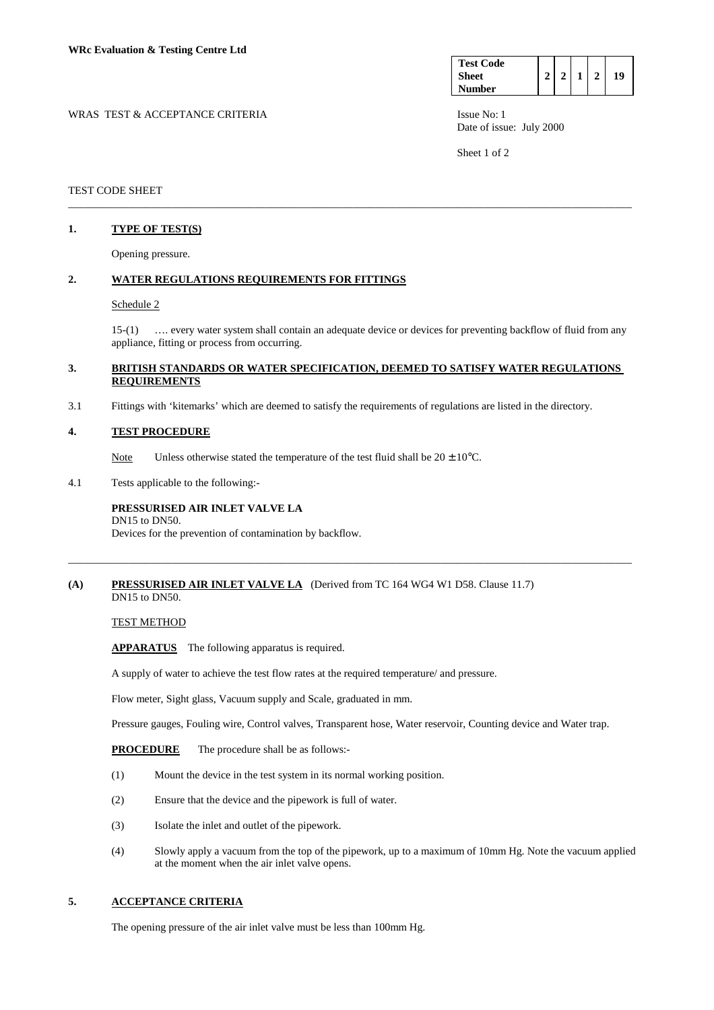| <b>Test Code</b> |  |  |    |
|------------------|--|--|----|
| <b>Sheet</b>     |  |  | 19 |
| <b>Number</b>    |  |  |    |

WRAS TEST & ACCEPTANCE CRITERIA **ISSUE NO:** 1 Date of issue: July 2000

Sheet 1 of 2

#### TEST CODE SHEET

## **1. TYPE OF TEST(S)**

Opening pressure.

#### **2. WATER REGULATIONS REQUIREMENTS FOR FITTINGS**

#### Schedule 2

 15-(1) …. every water system shall contain an adequate device or devices for preventing backflow of fluid from any appliance, fitting or process from occurring.

### **3. BRITISH STANDARDS OR WATER SPECIFICATION, DEEMED TO SATISFY WATER REGULATIONS REQUIREMENTS**

\_\_\_\_\_\_\_\_\_\_\_\_\_\_\_\_\_\_\_\_\_\_\_\_\_\_\_\_\_\_\_\_\_\_\_\_\_\_\_\_\_\_\_\_\_\_\_\_\_\_\_\_\_\_\_\_\_\_\_\_\_\_\_\_\_\_\_\_\_\_\_\_\_\_\_\_\_\_\_\_\_\_\_\_\_\_\_\_\_\_\_\_\_\_\_\_\_\_\_\_\_\_\_

3.1 Fittings with 'kitemarks' which are deemed to satisfy the requirements of regulations are listed in the directory.

#### **4. TEST PROCEDURE**

Note Unless otherwise stated the temperature of the test fluid shall be  $20 \pm 10^{\circ}$ C.

4.1 Tests applicable to the following:-

## **PRESSURISED AIR INLET VALVE LA**

Devices for the prevention of contamination by backflow.

#### **(A) PRESSURISED AIR INLET VALVE LA** (Derived from TC 164 WG4 W1 D58. Clause 11.7) DN15 to DN50.

DN15 to DN50.

TEST METHOD

 **APPARATUS** The following apparatus is required.

A supply of water to achieve the test flow rates at the required temperature/ and pressure.

Flow meter, Sight glass, Vacuum supply and Scale, graduated in mm.

Pressure gauges, Fouling wire, Control valves, Transparent hose, Water reservoir, Counting device and Water trap.

\_\_\_\_\_\_\_\_\_\_\_\_\_\_\_\_\_\_\_\_\_\_\_\_\_\_\_\_\_\_\_\_\_\_\_\_\_\_\_\_\_\_\_\_\_\_\_\_\_\_\_\_\_\_\_\_\_\_\_\_\_\_\_\_\_\_\_\_\_\_\_\_\_\_\_\_\_\_\_\_\_\_\_\_\_\_\_\_\_\_\_\_\_\_\_\_\_\_\_\_\_\_\_

- **PROCEDURE** The procedure shall be as follows:-
- (1) Mount the device in the test system in its normal working position.
- (2) Ensure that the device and the pipework is full of water.
- (3) Isolate the inlet and outlet of the pipework.
- (4) Slowly apply a vacuum from the top of the pipework, up to a maximum of 10mm Hg. Note the vacuum applied at the moment when the air inlet valve opens.

# **5. ACCEPTANCE CRITERIA**

The opening pressure of the air inlet valve must be less than 100mm Hg.